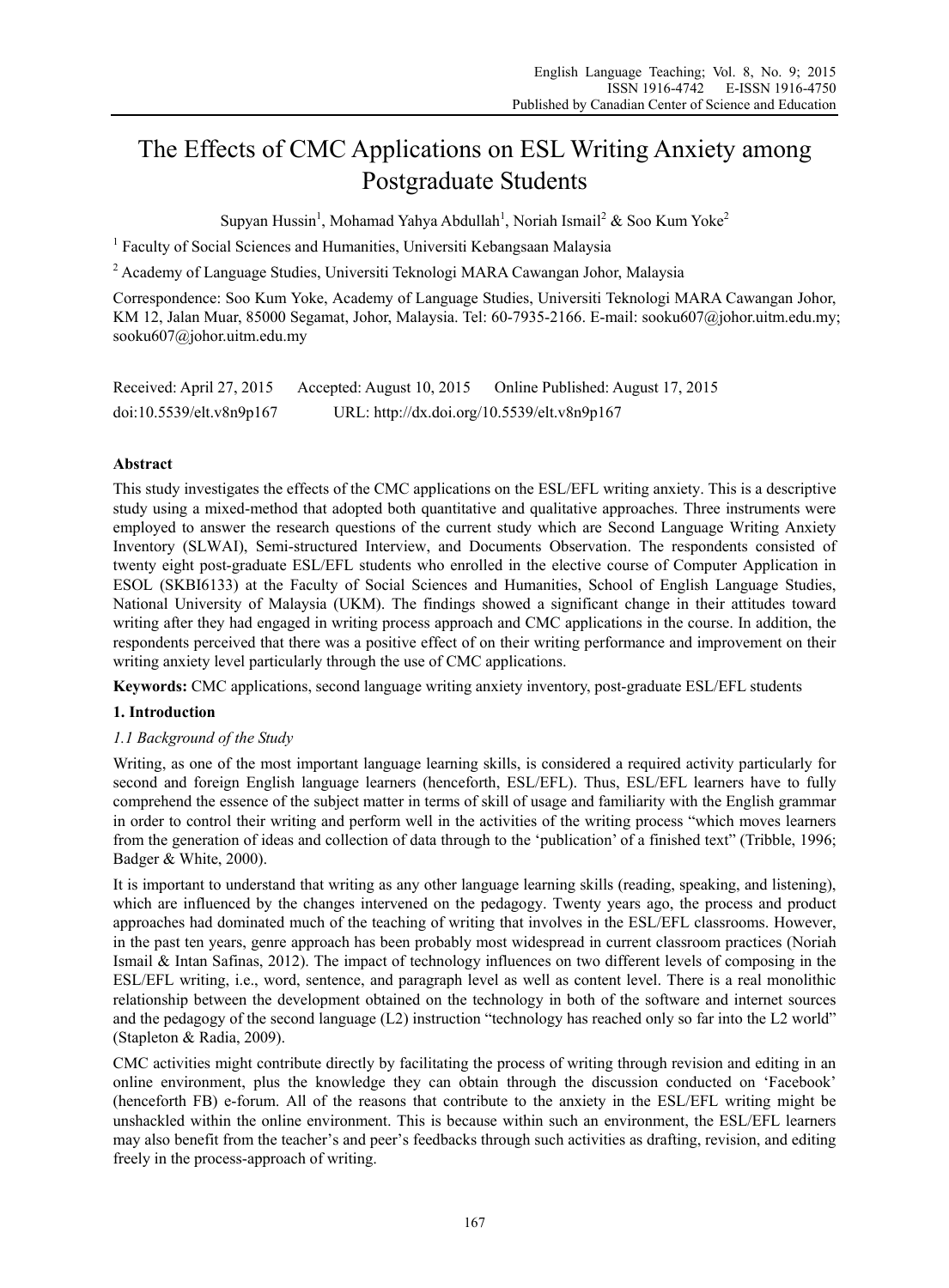# The Effects of CMC Applications on ESL Writing Anxiety among Postgraduate Students

Supyan Hussin<sup>1</sup>, Mohamad Yahya Abdullah<sup>1</sup>, Noriah Ismail<sup>2</sup> & Soo Kum Yoke<sup>2</sup>

<sup>1</sup> Faculty of Social Sciences and Humanities, Universiti Kebangsaan Malaysia

<sup>2</sup> Academy of Language Studies, Universiti Teknologi MARA Cawangan Johor, Malaysia

Correspondence: Soo Kum Yoke, Academy of Language Studies, Universiti Teknologi MARA Cawangan Johor, KM 12, Jalan Muar, 85000 Segamat, Johor, Malaysia. Tel: 60-7935-2166. E-mail: sooku607@johor.uitm.edu.my; sooku607@johor.uitm.edu.my

| Received: April 27, 2015 | Accepted: August 10, 2015                   | Online Published: August 17, 2015 |
|--------------------------|---------------------------------------------|-----------------------------------|
| doi:10.5539/elt.v8n9p167 | URL: http://dx.doi.org/10.5539/elt.v8n9p167 |                                   |

## **Abstract**

This study investigates the effects of the CMC applications on the ESL/EFL writing anxiety. This is a descriptive study using a mixed-method that adopted both quantitative and qualitative approaches. Three instruments were employed to answer the research questions of the current study which are Second Language Writing Anxiety Inventory (SLWAI), Semi-structured Interview, and Documents Observation. The respondents consisted of twenty eight post-graduate ESL/EFL students who enrolled in the elective course of Computer Application in ESOL (SKBI6133) at the Faculty of Social Sciences and Humanities, School of English Language Studies, National University of Malaysia (UKM). The findings showed a significant change in their attitudes toward writing after they had engaged in writing process approach and CMC applications in the course. In addition, the respondents perceived that there was a positive effect of on their writing performance and improvement on their writing anxiety level particularly through the use of CMC applications.

**Keywords:** CMC applications, second language writing anxiety inventory, post-graduate ESL/EFL students

## **1. Introduction**

## *1.1 Background of the Study*

Writing, as one of the most important language learning skills, is considered a required activity particularly for second and foreign English language learners (henceforth, ESL/EFL). Thus, ESL/EFL learners have to fully comprehend the essence of the subject matter in terms of skill of usage and familiarity with the English grammar in order to control their writing and perform well in the activities of the writing process "which moves learners from the generation of ideas and collection of data through to the 'publication' of a finished text" (Tribble, 1996; Badger & White, 2000).

It is important to understand that writing as any other language learning skills (reading, speaking, and listening), which are influenced by the changes intervened on the pedagogy. Twenty years ago, the process and product approaches had dominated much of the teaching of writing that involves in the ESL/EFL classrooms. However, in the past ten years, genre approach has been probably most widespread in current classroom practices (Noriah Ismail & Intan Safinas, 2012). The impact of technology influences on two different levels of composing in the ESL/EFL writing, i.e., word, sentence, and paragraph level as well as content level. There is a real monolithic relationship between the development obtained on the technology in both of the software and internet sources and the pedagogy of the second language (L2) instruction "technology has reached only so far into the L2 world" (Stapleton & Radia, 2009).

CMC activities might contribute directly by facilitating the process of writing through revision and editing in an online environment, plus the knowledge they can obtain through the discussion conducted on 'Facebook' (henceforth FB) e-forum. All of the reasons that contribute to the anxiety in the ESL/EFL writing might be unshackled within the online environment. This is because within such an environment, the ESL/EFL learners may also benefit from the teacher's and peer's feedbacks through such activities as drafting, revision, and editing freely in the process-approach of writing.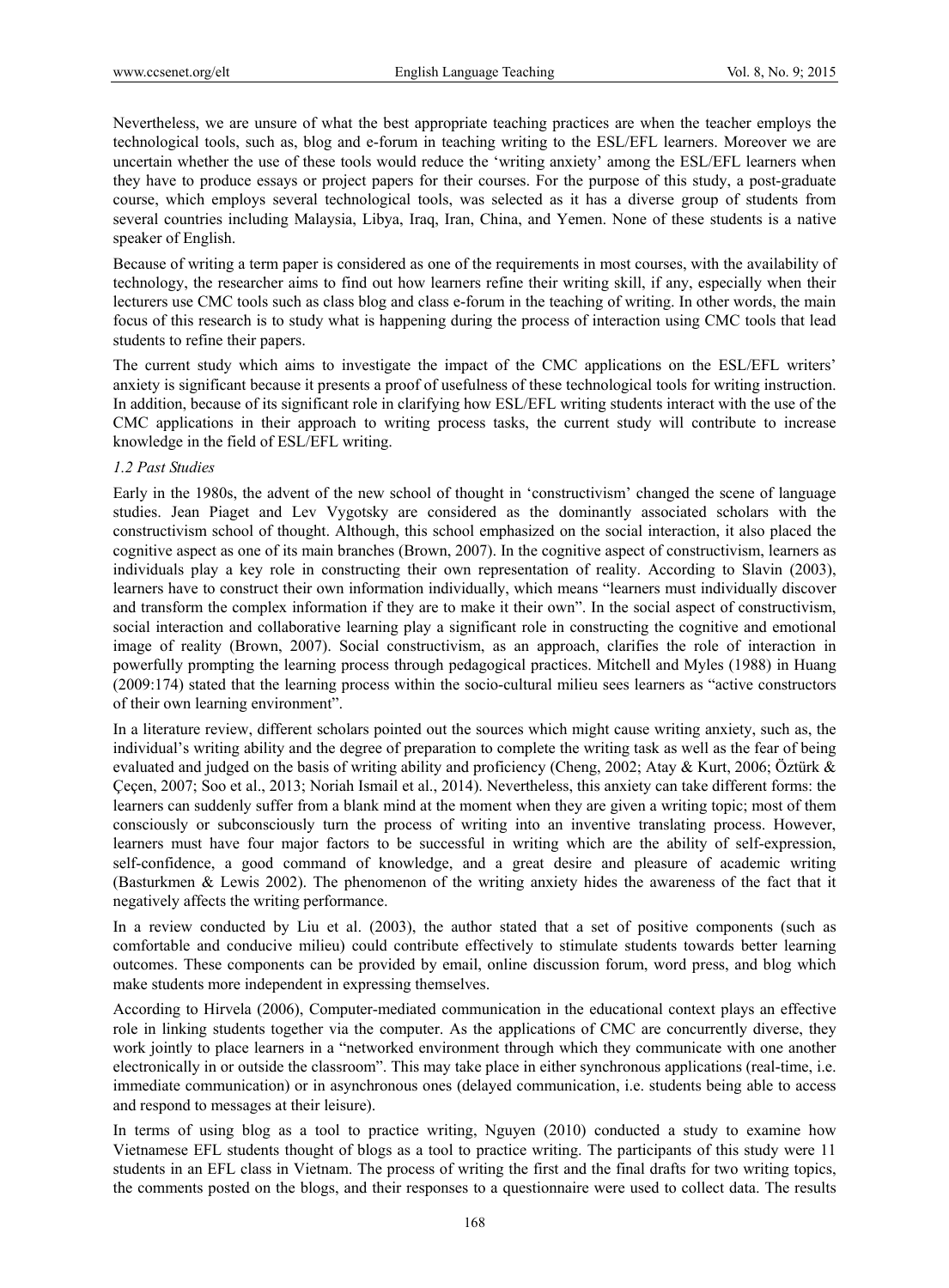Nevertheless, we are unsure of what the best appropriate teaching practices are when the teacher employs the technological tools, such as, blog and e-forum in teaching writing to the ESL/EFL learners. Moreover we are uncertain whether the use of these tools would reduce the 'writing anxiety' among the ESL/EFL learners when they have to produce essays or project papers for their courses. For the purpose of this study, a post-graduate course, which employs several technological tools, was selected as it has a diverse group of students from several countries including Malaysia, Libya, Iraq, Iran, China, and Yemen. None of these students is a native speaker of English.

Because of writing a term paper is considered as one of the requirements in most courses, with the availability of technology, the researcher aims to find out how learners refine their writing skill, if any, especially when their lecturers use CMC tools such as class blog and class e-forum in the teaching of writing. In other words, the main focus of this research is to study what is happening during the process of interaction using CMC tools that lead students to refine their papers.

The current study which aims to investigate the impact of the CMC applications on the ESL/EFL writers' anxiety is significant because it presents a proof of usefulness of these technological tools for writing instruction. In addition, because of its significant role in clarifying how ESL/EFL writing students interact with the use of the CMC applications in their approach to writing process tasks, the current study will contribute to increase knowledge in the field of ESL/EFL writing.

#### *1.2 Past Studies*

Early in the 1980s, the advent of the new school of thought in 'constructivism' changed the scene of language studies. Jean Piaget and Lev Vygotsky are considered as the dominantly associated scholars with the constructivism school of thought. Although, this school emphasized on the social interaction, it also placed the cognitive aspect as one of its main branches (Brown, 2007). In the cognitive aspect of constructivism, learners as individuals play a key role in constructing their own representation of reality. According to Slavin (2003), learners have to construct their own information individually, which means "learners must individually discover and transform the complex information if they are to make it their own". In the social aspect of constructivism, social interaction and collaborative learning play a significant role in constructing the cognitive and emotional image of reality (Brown, 2007). Social constructivism, as an approach, clarifies the role of interaction in powerfully prompting the learning process through pedagogical practices. Mitchell and Myles (1988) in Huang (2009:174) stated that the learning process within the socio-cultural milieu sees learners as "active constructors of their own learning environment".

In a literature review, different scholars pointed out the sources which might cause writing anxiety, such as, the individual's writing ability and the degree of preparation to complete the writing task as well as the fear of being evaluated and judged on the basis of writing ability and proficiency (Cheng, 2002; Atay & Kurt, 2006; Öztürk & Çeçen, 2007; Soo et al., 2013; Noriah Ismail et al., 2014). Nevertheless, this anxiety can take different forms: the learners can suddenly suffer from a blank mind at the moment when they are given a writing topic; most of them consciously or subconsciously turn the process of writing into an inventive translating process. However, learners must have four major factors to be successful in writing which are the ability of self-expression, self-confidence, a good command of knowledge, and a great desire and pleasure of academic writing (Basturkmen & Lewis 2002). The phenomenon of the writing anxiety hides the awareness of the fact that it negatively affects the writing performance.

In a review conducted by Liu et al. (2003), the author stated that a set of positive components (such as comfortable and conducive milieu) could contribute effectively to stimulate students towards better learning outcomes. These components can be provided by email, online discussion forum, word press, and blog which make students more independent in expressing themselves.

According to Hirvela (2006), Computer-mediated communication in the educational context plays an effective role in linking students together via the computer. As the applications of CMC are concurrently diverse, they work jointly to place learners in a "networked environment through which they communicate with one another electronically in or outside the classroom". This may take place in either synchronous applications (real-time, i.e. immediate communication) or in asynchronous ones (delayed communication, i.e. students being able to access and respond to messages at their leisure).

In terms of using blog as a tool to practice writing, Nguyen (2010) conducted a study to examine how Vietnamese EFL students thought of blogs as a tool to practice writing. The participants of this study were 11 students in an EFL class in Vietnam. The process of writing the first and the final drafts for two writing topics, the comments posted on the blogs, and their responses to a questionnaire were used to collect data. The results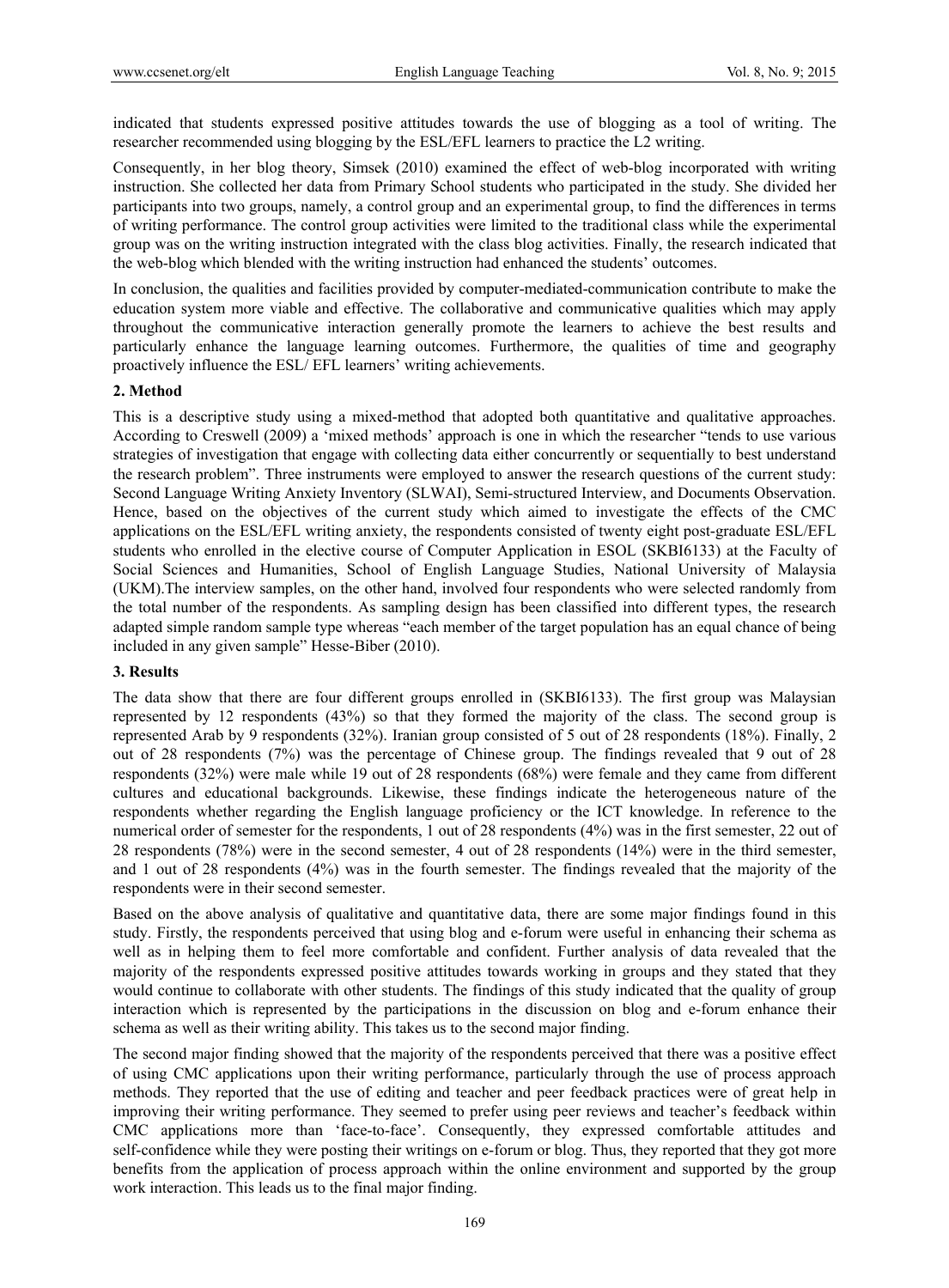indicated that students expressed positive attitudes towards the use of blogging as a tool of writing. The researcher recommended using blogging by the ESL/EFL learners to practice the L2 writing.

Consequently, in her blog theory, Simsek (2010) examined the effect of web-blog incorporated with writing instruction. She collected her data from Primary School students who participated in the study. She divided her participants into two groups, namely, a control group and an experimental group, to find the differences in terms of writing performance. The control group activities were limited to the traditional class while the experimental group was on the writing instruction integrated with the class blog activities. Finally, the research indicated that the web-blog which blended with the writing instruction had enhanced the students' outcomes.

In conclusion, the qualities and facilities provided by computer-mediated-communication contribute to make the education system more viable and effective. The collaborative and communicative qualities which may apply throughout the communicative interaction generally promote the learners to achieve the best results and particularly enhance the language learning outcomes. Furthermore, the qualities of time and geography proactively influence the ESL/ EFL learners' writing achievements.

#### **2. Method**

This is a descriptive study using a mixed-method that adopted both quantitative and qualitative approaches. According to Creswell (2009) a 'mixed methods' approach is one in which the researcher "tends to use various strategies of investigation that engage with collecting data either concurrently or sequentially to best understand the research problem". Three instruments were employed to answer the research questions of the current study: Second Language Writing Anxiety Inventory (SLWAI), Semi-structured Interview, and Documents Observation. Hence, based on the objectives of the current study which aimed to investigate the effects of the CMC applications on the ESL/EFL writing anxiety, the respondents consisted of twenty eight post-graduate ESL/EFL students who enrolled in the elective course of Computer Application in ESOL (SKBI6133) at the Faculty of Social Sciences and Humanities, School of English Language Studies, National University of Malaysia (UKM).The interview samples, on the other hand, involved four respondents who were selected randomly from the total number of the respondents. As sampling design has been classified into different types, the research adapted simple random sample type whereas "each member of the target population has an equal chance of being included in any given sample" Hesse-Biber (2010).

### **3. Results**

The data show that there are four different groups enrolled in (SKBI6133). The first group was Malaysian represented by 12 respondents (43%) so that they formed the majority of the class. The second group is represented Arab by 9 respondents (32%). Iranian group consisted of 5 out of 28 respondents (18%). Finally, 2 out of 28 respondents (7%) was the percentage of Chinese group. The findings revealed that 9 out of 28 respondents (32%) were male while 19 out of 28 respondents (68%) were female and they came from different cultures and educational backgrounds. Likewise, these findings indicate the heterogeneous nature of the respondents whether regarding the English language proficiency or the ICT knowledge. In reference to the numerical order of semester for the respondents, 1 out of 28 respondents (4%) was in the first semester, 22 out of 28 respondents (78%) were in the second semester, 4 out of 28 respondents (14%) were in the third semester, and 1 out of 28 respondents (4%) was in the fourth semester. The findings revealed that the majority of the respondents were in their second semester.

Based on the above analysis of qualitative and quantitative data, there are some major findings found in this study. Firstly, the respondents perceived that using blog and e-forum were useful in enhancing their schema as well as in helping them to feel more comfortable and confident. Further analysis of data revealed that the majority of the respondents expressed positive attitudes towards working in groups and they stated that they would continue to collaborate with other students. The findings of this study indicated that the quality of group interaction which is represented by the participations in the discussion on blog and e-forum enhance their schema as well as their writing ability. This takes us to the second major finding.

The second major finding showed that the majority of the respondents perceived that there was a positive effect of using CMC applications upon their writing performance, particularly through the use of process approach methods. They reported that the use of editing and teacher and peer feedback practices were of great help in improving their writing performance. They seemed to prefer using peer reviews and teacher's feedback within CMC applications more than 'face-to-face'. Consequently, they expressed comfortable attitudes and self-confidence while they were posting their writings on e-forum or blog. Thus, they reported that they got more benefits from the application of process approach within the online environment and supported by the group work interaction. This leads us to the final major finding.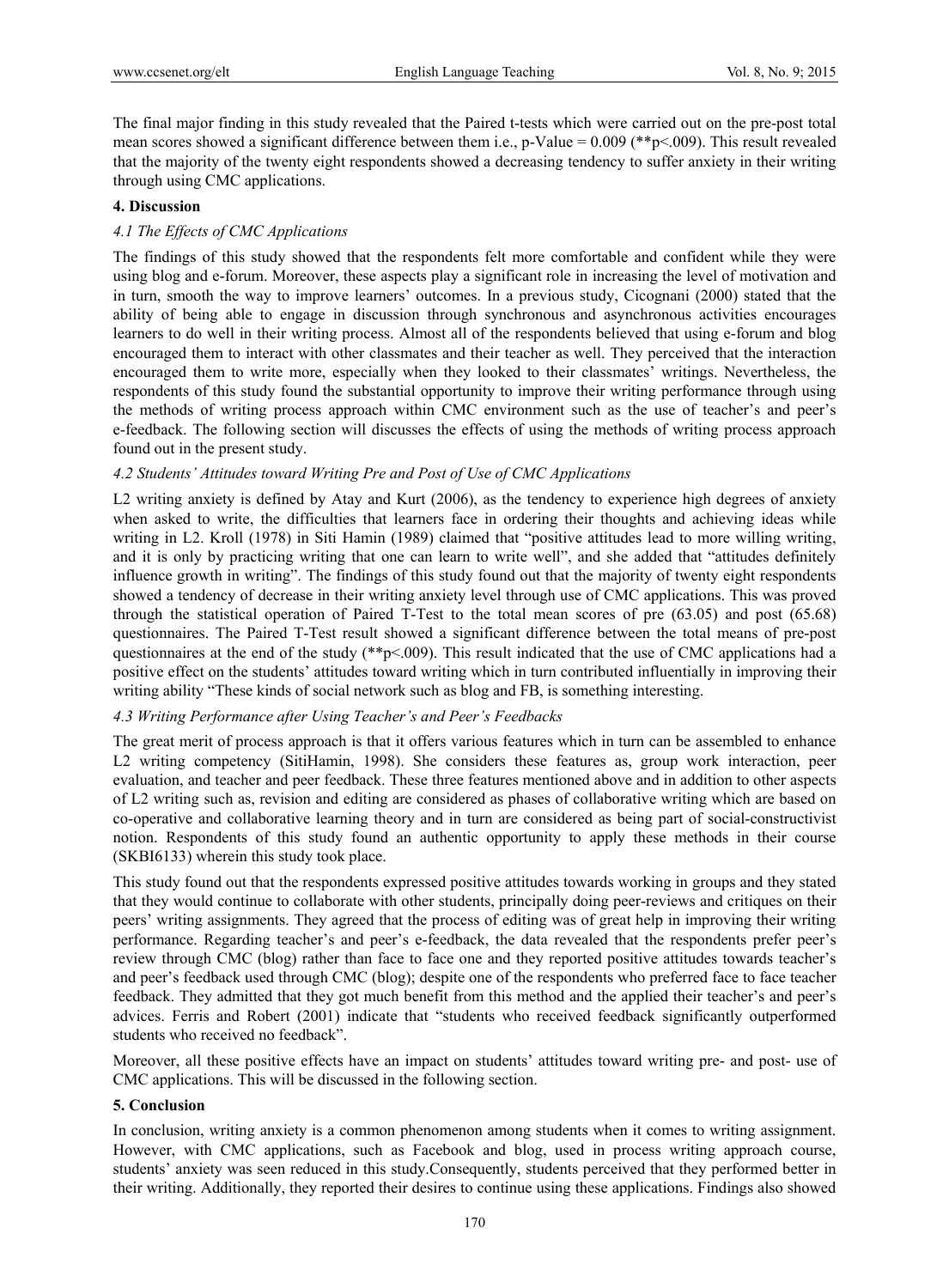The final major finding in this study revealed that the Paired t-tests which were carried out on the pre-post total mean scores showed a significant difference between them i.e., p-Value =  $0.009$  (\*\*p<.009). This result revealed that the majority of the twenty eight respondents showed a decreasing tendency to suffer anxiety in their writing through using CMC applications.

#### **4. Discussion**

## *4.1 The Effects of CMC Applications*

The findings of this study showed that the respondents felt more comfortable and confident while they were using blog and e-forum. Moreover, these aspects play a significant role in increasing the level of motivation and in turn, smooth the way to improve learners' outcomes. In a previous study, Cicognani (2000) stated that the ability of being able to engage in discussion through synchronous and asynchronous activities encourages learners to do well in their writing process. Almost all of the respondents believed that using e-forum and blog encouraged them to interact with other classmates and their teacher as well. They perceived that the interaction encouraged them to write more, especially when they looked to their classmates' writings. Nevertheless, the respondents of this study found the substantial opportunity to improve their writing performance through using the methods of writing process approach within CMC environment such as the use of teacher's and peer's e-feedback. The following section will discusses the effects of using the methods of writing process approach found out in the present study.

## *4.2 Students' Attitudes toward Writing Pre and Post of Use of CMC Applications*

L2 writing anxiety is defined by Atay and Kurt (2006), as the tendency to experience high degrees of anxiety when asked to write, the difficulties that learners face in ordering their thoughts and achieving ideas while writing in L2. Kroll (1978) in Siti Hamin (1989) claimed that "positive attitudes lead to more willing writing, and it is only by practicing writing that one can learn to write well", and she added that "attitudes definitely influence growth in writing". The findings of this study found out that the majority of twenty eight respondents showed a tendency of decrease in their writing anxiety level through use of CMC applications. This was proved through the statistical operation of Paired T-Test to the total mean scores of pre (63.05) and post (65.68) questionnaires. The Paired T-Test result showed a significant difference between the total means of pre-post questionnaires at the end of the study ( $*p<.009$ ). This result indicated that the use of CMC applications had a positive effect on the students' attitudes toward writing which in turn contributed influentially in improving their writing ability "These kinds of social network such as blog and FB, is something interesting.

## *4.3 Writing Performance after Using Teacher's and Peer's Feedbacks*

The great merit of process approach is that it offers various features which in turn can be assembled to enhance L2 writing competency (SitiHamin, 1998). She considers these features as, group work interaction, peer evaluation, and teacher and peer feedback. These three features mentioned above and in addition to other aspects of L2 writing such as, revision and editing are considered as phases of collaborative writing which are based on co-operative and collaborative learning theory and in turn are considered as being part of social-constructivist notion. Respondents of this study found an authentic opportunity to apply these methods in their course (SKBI6133) wherein this study took place.

This study found out that the respondents expressed positive attitudes towards working in groups and they stated that they would continue to collaborate with other students, principally doing peer-reviews and critiques on their peers' writing assignments. They agreed that the process of editing was of great help in improving their writing performance. Regarding teacher's and peer's e-feedback, the data revealed that the respondents prefer peer's review through CMC (blog) rather than face to face one and they reported positive attitudes towards teacher's and peer's feedback used through CMC (blog); despite one of the respondents who preferred face to face teacher feedback. They admitted that they got much benefit from this method and the applied their teacher's and peer's advices. Ferris and Robert (2001) indicate that "students who received feedback significantly outperformed students who received no feedback".

Moreover, all these positive effects have an impact on students' attitudes toward writing pre- and post- use of CMC applications. This will be discussed in the following section.

## **5. Conclusion**

In conclusion, writing anxiety is a common phenomenon among students when it comes to writing assignment. However, with CMC applications, such as Facebook and blog, used in process writing approach course, students' anxiety was seen reduced in this study.Consequently, students perceived that they performed better in their writing. Additionally, they reported their desires to continue using these applications. Findings also showed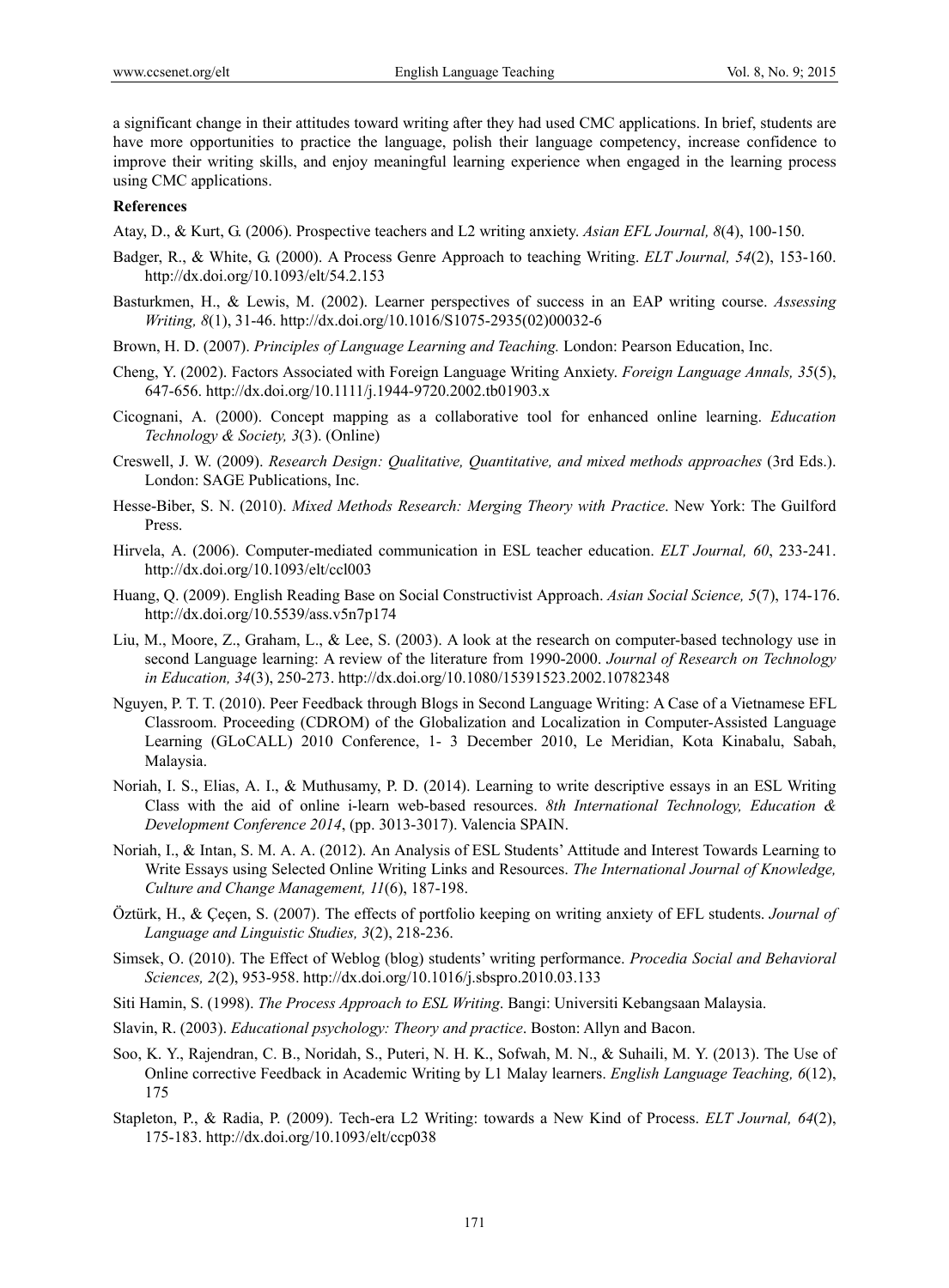a significant change in their attitudes toward writing after they had used CMC applications. In brief, students are have more opportunities to practice the language, polish their language competency, increase confidence to improve their writing skills, and enjoy meaningful learning experience when engaged in the learning process using CMC applications.

#### **References**

Atay, D., & Kurt, G. (2006). Prospective teachers and L2 writing anxiety. *Asian EFL Journal, 8*(4), 100-150.

- Badger, R., & White, G. (2000). A Process Genre Approach to teaching Writing. *ELT Journal, 54*(2), 153-160. http://dx.doi.org/10.1093/elt/54.2.153
- Basturkmen, H., & Lewis, M. (2002). Learner perspectives of success in an EAP writing course. *Assessing Writing, 8*(1), 31-46. http://dx.doi.org/10.1016/S1075-2935(02)00032-6
- Brown, H. D. (2007). *Principles of Language Learning and Teaching.* London: Pearson Education, Inc.
- Cheng, Y. (2002). Factors Associated with Foreign Language Writing Anxiety. *Foreign Language Annals, 35*(5), 647-656. http://dx.doi.org/10.1111/j.1944-9720.2002.tb01903.x
- Cicognani, A. (2000). Concept mapping as a collaborative tool for enhanced online learning. *Education Technology & Society, 3*(3). (Online)
- Creswell, J. W. (2009). *Research Design: Qualitative, Quantitative, and mixed methods approaches* (3rd Eds.). London: SAGE Publications, Inc.
- Hesse-Biber, S. N. (2010). *Mixed Methods Research: Merging Theory with Practice*. New York: The Guilford Press.
- Hirvela, A. (2006). Computer-mediated communication in ESL teacher education. *ELT Journal, 60*, 233-241. http://dx.doi.org/10.1093/elt/ccl003
- Huang, Q. (2009). English Reading Base on Social Constructivist Approach. *Asian Social Science, 5*(7), 174-176. http://dx.doi.org/10.5539/ass.v5n7p174
- Liu, M., Moore, Z., Graham, L., & Lee, S. (2003). A look at the research on computer-based technology use in second Language learning: A review of the literature from 1990-2000. *Journal of Research on Technology in Education, 34*(3), 250-273. http://dx.doi.org/10.1080/15391523.2002.10782348
- Nguyen, P. T. T. (2010). Peer Feedback through Blogs in Second Language Writing: A Case of a Vietnamese EFL Classroom. Proceeding (CDROM) of the Globalization and Localization in Computer-Assisted Language Learning (GLoCALL) 2010 Conference, 1- 3 December 2010, Le Meridian, Kota Kinabalu, Sabah, Malaysia.
- Noriah, I. S., Elias, A. I., & Muthusamy, P. D. (2014). Learning to write descriptive essays in an ESL Writing Class with the aid of online i-learn web-based resources. *8th International Technology, Education & Development Conference 2014*, (pp. 3013-3017). Valencia SPAIN.
- Noriah, I., & Intan, S. M. A. A. (2012). An Analysis of ESL Students' Attitude and Interest Towards Learning to Write Essays using Selected Online Writing Links and Resources. *The International Journal of Knowledge, Culture and Change Management, 11*(6), 187-198.
- Öztürk, H., & Çeçen, S. (2007). The effects of portfolio keeping on writing anxiety of EFL students. *Journal of Language and Linguistic Studies, 3*(2), 218-236.
- Simsek, O. (2010). The Effect of Weblog (blog) students' writing performance. *Procedia Social and Behavioral Sciences, 2*(2), 953-958. http://dx.doi.org/10.1016/j.sbspro.2010.03.133
- Siti Hamin, S. (1998). *The Process Approach to ESL Writing*. Bangi: Universiti Kebangsaan Malaysia.
- Slavin, R. (2003). *Educational psychology: Theory and practice*. Boston: Allyn and Bacon.
- Soo, K. Y., Rajendran, C. B., Noridah, S., Puteri, N. H. K., Sofwah, M. N., & Suhaili, M. Y. (2013). The Use of Online corrective Feedback in Academic Writing by L1 Malay learners. *English Language Teaching, 6*(12), 175
- Stapleton, P., & Radia, P. (2009). Tech-era L2 Writing: towards a New Kind of Process. *ELT Journal, 64*(2), 175-183. http://dx.doi.org/10.1093/elt/ccp038